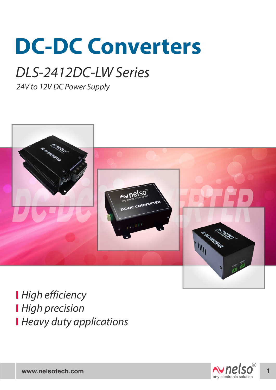# **DC-DC Converters**

## DLS-2412DC-LW Series

24V to 12V DC Power Supply



**High efficiency High precision Heavy duty applications** 

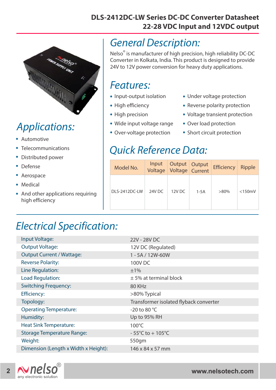#### **DLS-2412DC-LW Series DC-DC Converter Datasheet 22-28 VDC Input and 12VDC output**



## Applications:

- . Automotive
- . Telecommunications
- . . Distributed power
- Defense
- . Aerospace
- Aerospa<br>• Medical
- . And other applications requiring high efficiency

#### General Description:

Nelso<sup>®</sup> is manufacturer of high precision, high reliability DC-DC Converter in Kolkata, India. This product is designed to provide 24V to 12V power conversion for heavy duty applications.

#### Features:

- I CULUICS.<br>• Input-output isolation
- Input-output is<br>• High efficiency
- High efficiency<br>• High precision
- High precision<br>• Wide input voltage range
- Wide input voltage rang<br>• Over-voltage protection
- Under voltage protection .
- Under voltage protection<br>• Reverse polarity protection
- Reverse polarity protection<br>• Voltage transient protection
- Voltage transient pro<br>• Over load protection
- Over load protection<br>• Short circuit protection

#### Quick Reference Data:

| Model No.     | Input<br>Voltage | Output Output<br><b>Voltage</b> Current |        | <b>Efficiency</b> | <b>Ripple</b> |
|---------------|------------------|-----------------------------------------|--------|-------------------|---------------|
| DLS-2412DC-LW | 24V DC           | 12V DC                                  | $1-5A$ | $>80\%$           | $<$ 150 $mV$  |

### Electrical Specification:

| Input Voltage:                       | 22V - 28V DC                           |  |  |
|--------------------------------------|----------------------------------------|--|--|
| <b>Output Voltage:</b>               | 12V DC (Regulated)                     |  |  |
| <b>Output Current / Wattage:</b>     | 1 - 5A / 12W-60W                       |  |  |
| <b>Reverse Polarity:</b>             | 100V DC                                |  |  |
| Line Regulation:                     | ±1%                                    |  |  |
| Load Regulation:                     | $±$ 5% at terminal block               |  |  |
| <b>Switching Frequency:</b>          | 80 KHz                                 |  |  |
| <b>Efficiency:</b>                   | >80% Typical                           |  |  |
| Topology:                            | Transformer isolated flyback converter |  |  |
| <b>Operating Temperature:</b>        | -20 to 80 $^{\circ}$ C                 |  |  |
| Humidity:                            | Up to 95% RH                           |  |  |
| <b>Heat Sink Temperature:</b>        | $100^{\circ}$ C                        |  |  |
| <b>Storage Temperature Range:</b>    | $-55^{\circ}$ C to + 105 $^{\circ}$ C  |  |  |
| Weight:                              | 550gm                                  |  |  |
| Dimension (Length x Width x Height): | $146 \times 84 \times 57$ mm           |  |  |